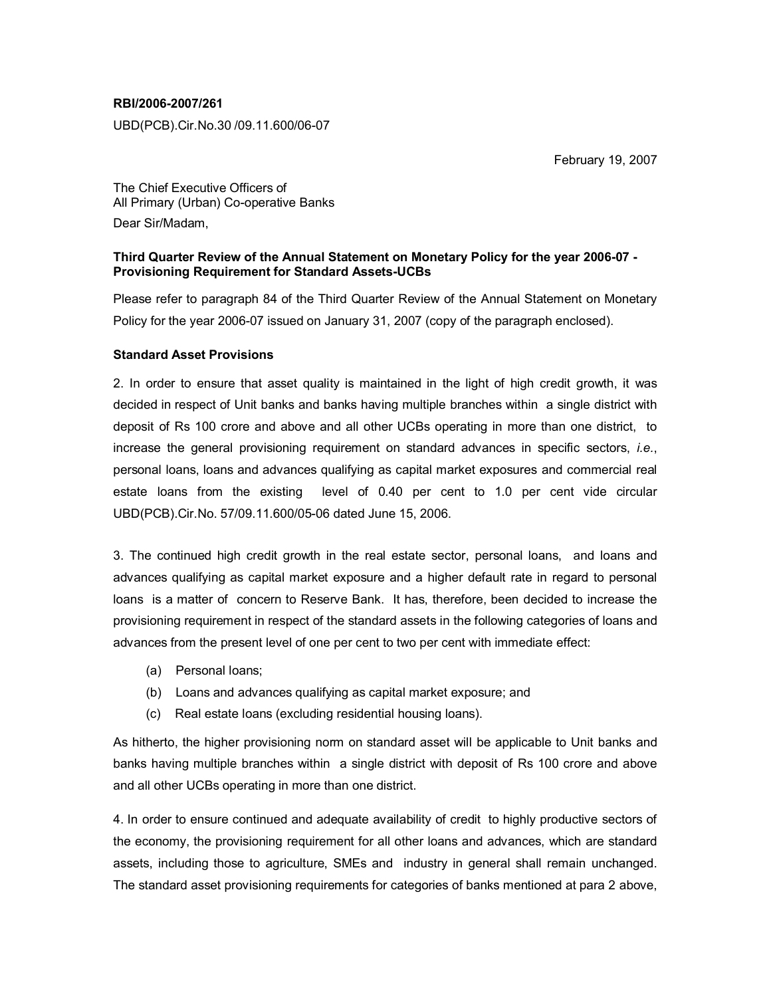## **RBI/2006-2007/261**

UBD(PCB).Cir.No.30 /09.11.600/06-07

February 19, 2007

The Chief Executive Officers of All Primary (Urban) Co-operative Banks Dear Sir/Madam,

## **Third Quarter Review of the Annual Statement on Monetary Policy for the year 2006-07 - Provisioning Requirement for Standard Assets-UCBs**

Please refer to paragraph 84 of the Third Quarter Review of the Annual Statement on Monetary Policy for the year 2006-07 issued on January 31, 2007 (copy of the paragraph enclosed).

## **Standard Asset Provisions**

2. In order to ensure that asset quality is maintained in the light of high credit growth, it was decided in respect of Unit banks and banks having multiple branches within a single district with deposit of Rs 100 crore and above and all other UCBs operating in more than one district, to increase the general provisioning requirement on standard advances in specific sectors, *i.e.*, personal loans, loans and advances qualifying as capital market exposures and commercial real estate loans from the existing level of 0.40 per cent to 1.0 per cent vide circular UBD(PCB).Cir.No. 57/09.11.600/05-06 dated June 15, 2006.

3. The continued high credit growth in the real estate sector, personal loans, and loans and advances qualifying as capital market exposure and a higher default rate in regard to personal loans is a matter of concern to Reserve Bank. It has, therefore, been decided to increase the provisioning requirement in respect of the standard assets in the following categories of loans and advances from the present level of one per cent to two per cent with immediate effect:

- (a) Personal loans;
- (b) Loans and advances qualifying as capital market exposure; and
- (c) Real estate loans (excluding residential housing loans).

As hitherto, the higher provisioning norm on standard asset will be applicable to Unit banks and banks having multiple branches within a single district with deposit of Rs 100 crore and above and all other UCBs operating in more than one district.

4. In order to ensure continued and adequate availability of credit to highly productive sectors of the economy, the provisioning requirement for all other loans and advances, which are standard assets, including those to agriculture, SMEs and industry in general shall remain unchanged. The standard asset provisioning requirements for categories of banks mentioned at para 2 above,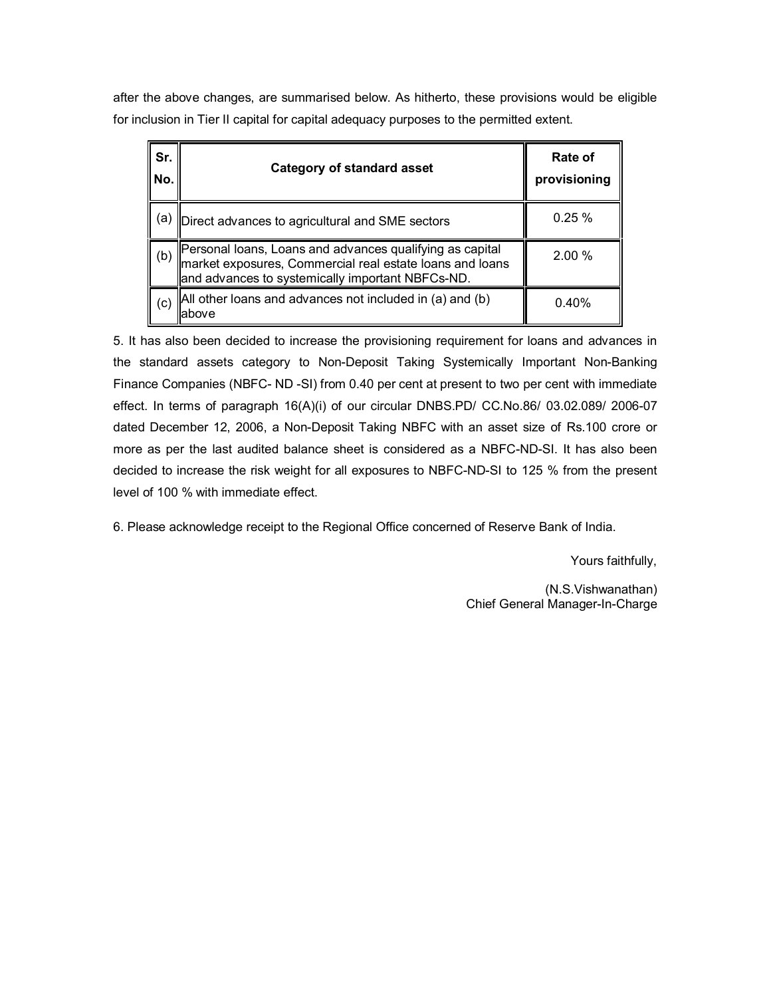after the above changes, are summarised below. As hitherto, these provisions would be eligible for inclusion in Tier II capital for capital adequacy purposes to the permitted extent.

| Sr.<br>No. | <b>Category of standard asset</b>                                                                                                                                        | Rate of<br>provisioning |
|------------|--------------------------------------------------------------------------------------------------------------------------------------------------------------------------|-------------------------|
| (a)        | Direct advances to agricultural and SME sectors                                                                                                                          | 0.25%                   |
| (b)        | Personal loans, Loans and advances qualifying as capital<br>market exposures, Commercial real estate loans and loans<br>and advances to systemically important NBFCs-ND. | 2.00 %                  |
| (c)        | All other loans and advances not included in (a) and (b)<br>labove                                                                                                       | 0.40%                   |

5. It has also been decided to increase the provisioning requirement for loans and advances in the standard assets category to Non-Deposit Taking Systemically Important Non-Banking Finance Companies (NBFC- ND -SI) from 0.40 per cent at present to two per cent with immediate effect. In terms of paragraph 16(A)(i) of our circular DNBS.PD/ CC.No.86/ 03.02.089/ 2006-07 dated December 12, 2006, a Non-Deposit Taking NBFC with an asset size of Rs.100 crore or more as per the last audited balance sheet is considered as a NBFC-ND-SI. It has also been decided to increase the risk weight for all exposures to NBFC-ND-SI to 125 % from the present level of 100 % with immediate effect.

6. Please acknowledge receipt to the Regional Office concerned of Reserve Bank of India.

Yours faithfully,

(N.S.Vishwanathan) Chief General Manager-In-Charge